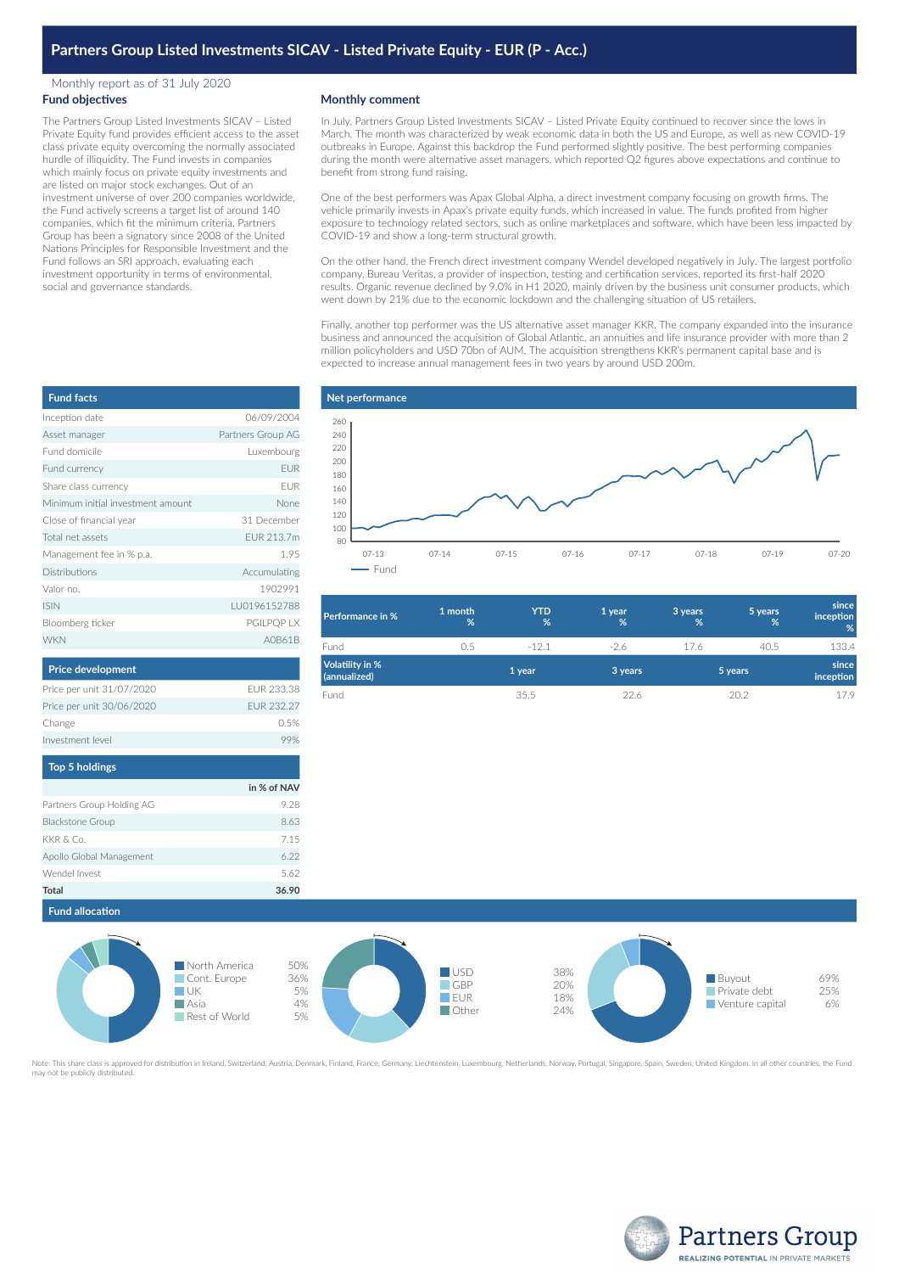# **Partners Group Listed Investments SICAV - Listed Private Equity - EUR (P - Acc.)**

### Monthly report as of 31 July 2020 **Fund objectives**

The Partners Group Listed Investments SICAV – Listed Private Equity fund provides efficient access to the asset class private equity overcoming the normally associated hurdle of illiquidity. The Fund invests in companies which mainly focus on private equity investments and are listed on major stock exchanges. Out of an investment universe of over 200 companies worldwide, the Fund actively screens a target list of around 140 companies, which fit the minimum criteria. Partners Group has been a signatory since 2008 of the United Nations Principles for Responsible Investment and the Fund follows an SRI approach, evaluating each investment opportunity in terms of environmental, social and governance standards.

## **Monthly comment**

In July, Partners Group Listed Investments SICAV – Listed Private Equity continued to recover since the lows in March. The month was characterized by weak economic data in both the US and Europe, as well as new COVID-19 outbreaks in Europe. Against this backdrop the Fund performed slightly positive. The best performing companies during the month were alternative asset managers, which reported Q2 figures above expectations and continue to benefit from strong fund raising.

One of the best performers was Apax Global Alpha, a direct investment company focusing on growth firms. The vehicle primarily invests in Apax's private equity funds, which increased in value. The funds profited from higher exposure to technology related sectors, such as online marketplaces and software, which have been less impacted by COVID-19 and show a long-term structural growth.

On the other hand, the French direct investment company Wendel developed negatively in July. The largest portfolio company, Bureau Veritas, a provider of inspection, testing and certification services, reported its first-half 2020 results. Organic revenue declined by 9.0% in H1 2020, mainly driven by the business unit consumer products, which went down by 21% due to the economic lockdown and the challenging situation of US retailers.

Finally, another top performer was the US alternative asset manager KKR. The company expanded into the insurance business and announced the acquisition of Global Atlantic, an annuities and life insurance provider with more than 2 million policyholders and USD 70bn of AUM. The acquisition strengthens KKR's permanent capital base and is expected to increase annual management fees in two years by around USD 200m.

| <b>Fund facts</b>                 |                   |
|-----------------------------------|-------------------|
| Inception date                    | 06/09/2004        |
| Asset manager                     | Partners Group AG |
| Eund domicile                     | Luxembourg        |
| Fund currency                     | <b>FUR</b>        |
| Share class currency              | FUR               |
| Minimum initial investment amount | None              |
| Close of financial year           | 31 December       |
| Total net assets                  | FUR 213.7m        |
| Management fee in % p.a.          | 1.95              |
| Distributions                     | Accumulating      |
| Valor no.                         | 1902991           |
| <b>ISIN</b>                       | IU0196152788      |
| Bloomberg ticker                  | PGILPQP LX        |
| <b>WKN</b>                        | A0B61B            |
| <b>Price development</b>          |                   |
| Price per unit 31/07/2020         | FUR 233.38        |
| Price per unit 30/06/2020         | FUR 232 27        |



| <b>Performance in %</b>                | 1 month<br>% | <b>YTD</b><br>% | 1 year<br>% | 3 years<br>% | 5 years<br>% | since<br>inception<br>% |
|----------------------------------------|--------------|-----------------|-------------|--------------|--------------|-------------------------|
| Fund                                   | 0.5          | $-121$          | $-2.6$      | 17.6         | 40.5         | 133.4                   |
| <b>Volatility in %</b><br>(annualized) |              | 1 year          | 3 years     |              | 5 years      | since<br>inception      |
| Fund                                   |              | 35.5            | 226         |              | 20.2         | 17.9                    |

| in % of NAV |
|-------------|
| 9.28        |
| 8.63        |
| 7.15        |
| 6.22        |
| 5.62        |
| 36.90       |
|             |

Change 0.5% Investment level and the contract of the contract of the contract of the contract of the contract of the contract of the contract of the contract of the contract of the contract of the contract of the contract of the contr



Note: This share class is approved for distribution in Ireland, Switzerland, Austria, Denmark, Finland, France, Germany, Liechtenstein, Luxembourg, Netherlands, Norway, Portugal, Singapore, Spain, Sweden, United Kingdom. I may share elass is approved.